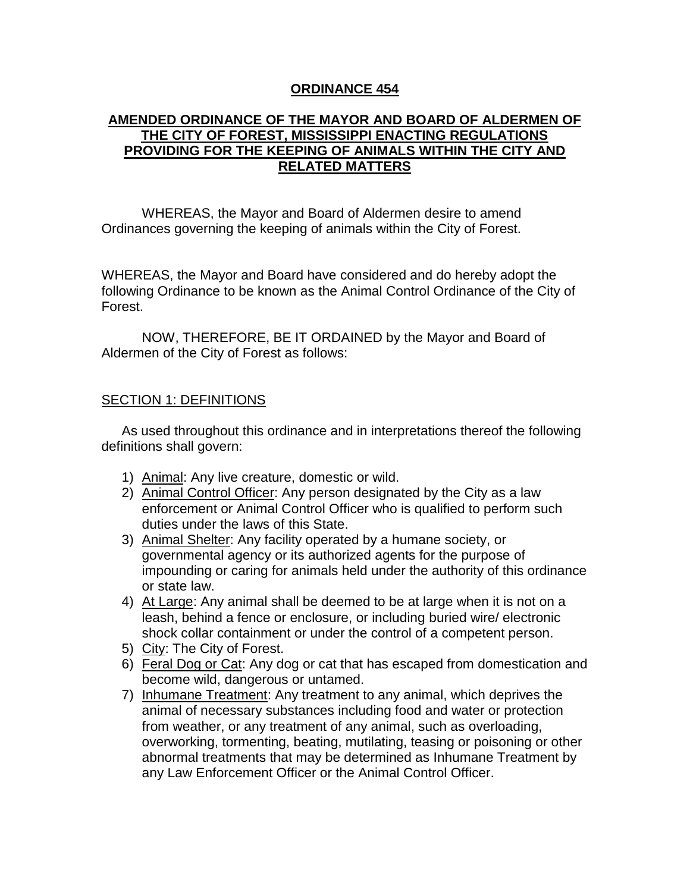## **ORDINANCE 454**

## **AMENDED ORDINANCE OF THE MAYOR AND BOARD OF ALDERMEN OF THE CITY OF FOREST, MISSISSIPPI ENACTING REGULATIONS PROVIDING FOR THE KEEPING OF ANIMALS WITHIN THE CITY AND RELATED MATTERS**

WHEREAS, the Mayor and Board of Aldermen desire to amend Ordinances governing the keeping of animals within the City of Forest.

WHEREAS, the Mayor and Board have considered and do hereby adopt the following Ordinance to be known as the Animal Control Ordinance of the City of Forest.

NOW, THEREFORE, BE IT ORDAINED by the Mayor and Board of Aldermen of the City of Forest as follows:

#### SECTION 1: DEFINITIONS

As used throughout this ordinance and in interpretations thereof the following definitions shall govern:

- 1) Animal: Any live creature, domestic or wild.
- 2) Animal Control Officer: Any person designated by the City as a law enforcement or Animal Control Officer who is qualified to perform such duties under the laws of this State.
- 3) Animal Shelter: Any facility operated by a humane society, or governmental agency or its authorized agents for the purpose of impounding or caring for animals held under the authority of this ordinance or state law.
- 4) At Large: Any animal shall be deemed to be at large when it is not on a leash, behind a fence or enclosure, or including buried wire/ electronic shock collar containment or under the control of a competent person.
- 5) City: The City of Forest.
- 6) Feral Dog or Cat: Any dog or cat that has escaped from domestication and become wild, dangerous or untamed.
- 7) Inhumane Treatment: Any treatment to any animal, which deprives the animal of necessary substances including food and water or protection from weather, or any treatment of any animal, such as overloading, overworking, tormenting, beating, mutilating, teasing or poisoning or other abnormal treatments that may be determined as Inhumane Treatment by any Law Enforcement Officer or the Animal Control Officer.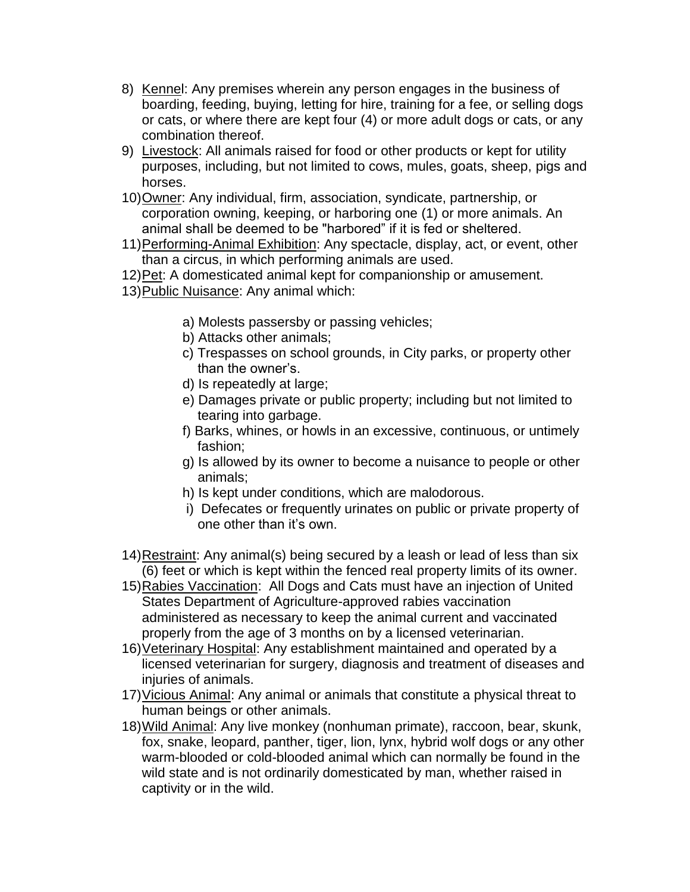- 8) Kennel: Any premises wherein any person engages in the business of boarding, feeding, buying, letting for hire, training for a fee, or selling dogs or cats, or where there are kept four (4) or more adult dogs or cats, or any combination thereof.
- 9) Livestock: All animals raised for food or other products or kept for utility purposes, including, but not limited to cows, mules, goats, sheep, pigs and horses.
- 10)Owner: Any individual, firm, association, syndicate, partnership, or corporation owning, keeping, or harboring one (1) or more animals. An animal shall be deemed to be "harbored" if it is fed or sheltered.
- 11)Performing-Animal Exhibition: Any spectacle, display, act, or event, other than a circus, in which performing animals are used.
- 12)Pet: A domesticated animal kept for companionship or amusement.
- 13)Public Nuisance: Any animal which:
	- a) Molests passersby or passing vehicles;
	- b) Attacks other animals;
	- c) Trespasses on school grounds, in City parks, or property other than the owner's.
	- d) Is repeatedly at large;
	- e) Damages private or public property; including but not limited to tearing into garbage.
	- f) Barks, whines, or howls in an excessive, continuous, or untimely fashion;
	- g) Is allowed by its owner to become a nuisance to people or other animals;
	- h) Is kept under conditions, which are malodorous.
	- i) Defecates or frequently urinates on public or private property of one other than it's own.
- 14)Restraint: Any animal(s) being secured by a leash or lead of less than six (6) feet or which is kept within the fenced real property limits of its owner.
- 15)Rabies Vaccination: All Dogs and Cats must have an injection of United States Department of Agriculture-approved rabies vaccination administered as necessary to keep the animal current and vaccinated properly from the age of 3 months on by a licensed veterinarian.
- 16)Veterinary Hospital: Any establishment maintained and operated by a licensed veterinarian for surgery, diagnosis and treatment of diseases and injuries of animals.
- 17)Vicious Animal: Any animal or animals that constitute a physical threat to human beings or other animals.
- 18)Wild Animal: Any live monkey (nonhuman primate), raccoon, bear, skunk, fox, snake, leopard, panther, tiger, lion, lynx, hybrid wolf dogs or any other warm-blooded or cold-blooded animal which can normally be found in the wild state and is not ordinarily domesticated by man, whether raised in captivity or in the wild.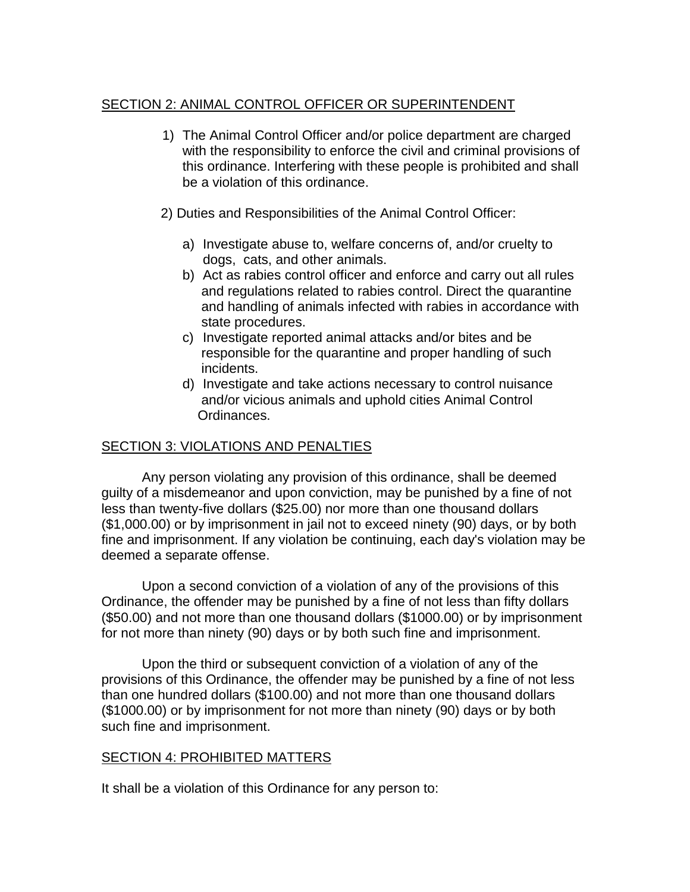## SECTION 2: ANIMAL CONTROL OFFICER OR SUPERINTENDENT

- 1) The Animal Control Officer and/or police department are charged with the responsibility to enforce the civil and criminal provisions of this ordinance. Interfering with these people is prohibited and shall be a violation of this ordinance.
- 2) Duties and Responsibilities of the Animal Control Officer:
	- a) Investigate abuse to, welfare concerns of, and/or cruelty to dogs, cats, and other animals.
	- b) Act as rabies control officer and enforce and carry out all rules and regulations related to rabies control. Direct the quarantine and handling of animals infected with rabies in accordance with state procedures.
	- c) Investigate reported animal attacks and/or bites and be responsible for the quarantine and proper handling of such incidents.
	- d) Investigate and take actions necessary to control nuisance and/or vicious animals and uphold cities Animal Control Ordinances.

## SECTION 3: VIOLATIONS AND PENALTIES

Any person violating any provision of this ordinance, shall be deemed guilty of a misdemeanor and upon conviction, may be punished by a fine of not less than twenty-five dollars (\$25.00) nor more than one thousand dollars (\$1,000.00) or by imprisonment in jail not to exceed ninety (90) days, or by both fine and imprisonment. If any violation be continuing, each day's violation may be deemed a separate offense.

Upon a second conviction of a violation of any of the provisions of this Ordinance, the offender may be punished by a fine of not less than fifty dollars (\$50.00) and not more than one thousand dollars (\$1000.00) or by imprisonment for not more than ninety (90) days or by both such fine and imprisonment.

Upon the third or subsequent conviction of a violation of any of the provisions of this Ordinance, the offender may be punished by a fine of not less than one hundred dollars (\$100.00) and not more than one thousand dollars (\$1000.00) or by imprisonment for not more than ninety (90) days or by both such fine and imprisonment.

## SECTION 4: PROHIBITED MATTERS

It shall be a violation of this Ordinance for any person to: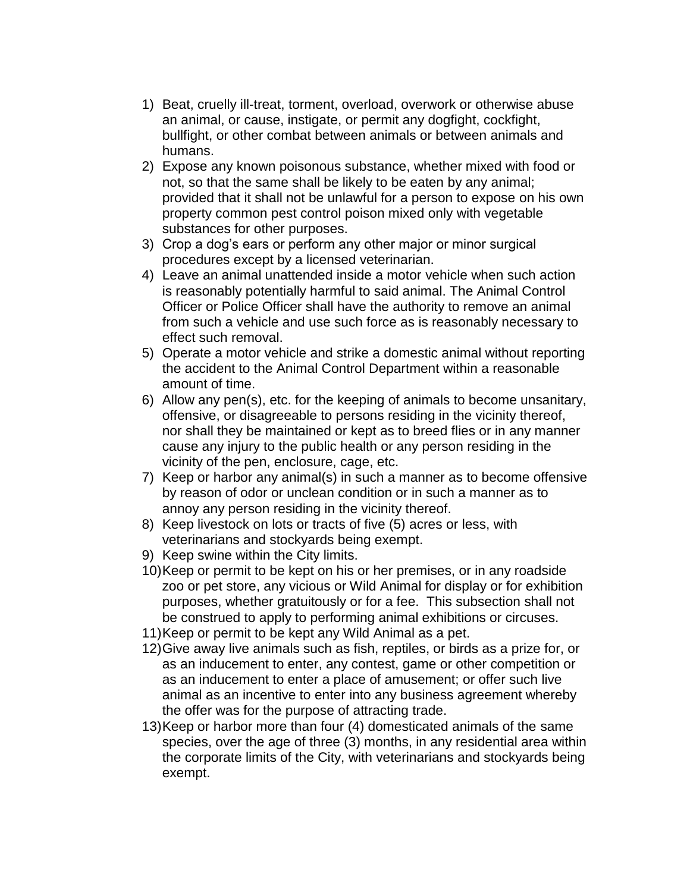- 1) Beat, cruelly ill-treat, torment, overload, overwork or otherwise abuse an animal, or cause, instigate, or permit any dogfight, cockfight, bullfight, or other combat between animals or between animals and humans.
- 2) Expose any known poisonous substance, whether mixed with food or not, so that the same shall be likely to be eaten by any animal; provided that it shall not be unlawful for a person to expose on his own property common pest control poison mixed only with vegetable substances for other purposes.
- 3) Crop a dog's ears or perform any other major or minor surgical procedures except by a licensed veterinarian.
- 4) Leave an animal unattended inside a motor vehicle when such action is reasonably potentially harmful to said animal. The Animal Control Officer or Police Officer shall have the authority to remove an animal from such a vehicle and use such force as is reasonably necessary to effect such removal.
- 5) Operate a motor vehicle and strike a domestic animal without reporting the accident to the Animal Control Department within a reasonable amount of time.
- 6) Allow any pen(s), etc. for the keeping of animals to become unsanitary, offensive, or disagreeable to persons residing in the vicinity thereof, nor shall they be maintained or kept as to breed flies or in any manner cause any injury to the public health or any person residing in the vicinity of the pen, enclosure, cage, etc.
- 7) Keep or harbor any animal(s) in such a manner as to become offensive by reason of odor or unclean condition or in such a manner as to annoy any person residing in the vicinity thereof.
- 8) Keep livestock on lots or tracts of five (5) acres or less, with veterinarians and stockyards being exempt.
- 9) Keep swine within the City limits.
- 10)Keep or permit to be kept on his or her premises, or in any roadside zoo or pet store, any vicious or Wild Animal for display or for exhibition purposes, whether gratuitously or for a fee. This subsection shall not be construed to apply to performing animal exhibitions or circuses.
- 11)Keep or permit to be kept any Wild Animal as a pet.
- 12)Give away live animals such as fish, reptiles, or birds as a prize for, or as an inducement to enter, any contest, game or other competition or as an inducement to enter a place of amusement; or offer such live animal as an incentive to enter into any business agreement whereby the offer was for the purpose of attracting trade.
- 13)Keep or harbor more than four (4) domesticated animals of the same species, over the age of three (3) months, in any residential area within the corporate limits of the City, with veterinarians and stockyards being exempt.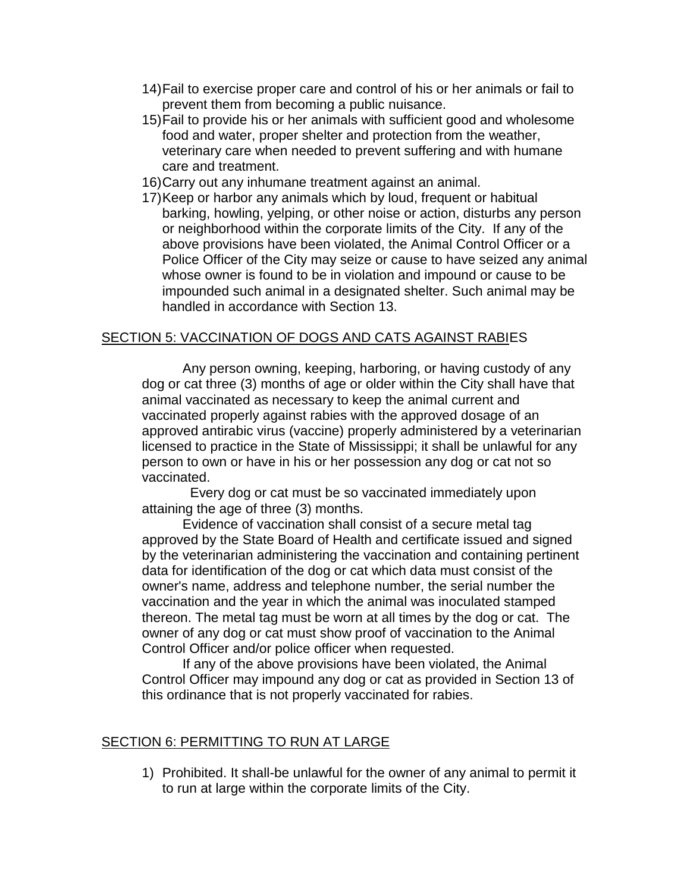- 14)Fail to exercise proper care and control of his or her animals or fail to prevent them from becoming a public nuisance.
- 15)Fail to provide his or her animals with sufficient good and wholesome food and water, proper shelter and protection from the weather, veterinary care when needed to prevent suffering and with humane care and treatment.
- 16)Carry out any inhumane treatment against an animal.
- 17)Keep or harbor any animals which by loud, frequent or habitual barking, howling, yelping, or other noise or action, disturbs any person or neighborhood within the corporate limits of the City. If any of the above provisions have been violated, the Animal Control Officer or a Police Officer of the City may seize or cause to have seized any animal whose owner is found to be in violation and impound or cause to be impounded such animal in a designated shelter. Such animal may be handled in accordance with Section 13.

#### SECTION 5: VACCINATION OF DOGS AND CATS AGAINST RABIES

Any person owning, keeping, harboring, or having custody of any dog or cat three (3) months of age or older within the City shall have that animal vaccinated as necessary to keep the animal current and vaccinated properly against rabies with the approved dosage of an approved antirabic virus (vaccine) properly administered by a veterinarian licensed to practice in the State of Mississippi; it shall be unlawful for any person to own or have in his or her possession any dog or cat not so vaccinated.

 Every dog or cat must be so vaccinated immediately upon attaining the age of three (3) months.

Evidence of vaccination shall consist of a secure metal tag approved by the State Board of Health and certificate issued and signed by the veterinarian administering the vaccination and containing pertinent data for identification of the dog or cat which data must consist of the owner's name, address and telephone number, the serial number the vaccination and the year in which the animal was inoculated stamped thereon. The metal tag must be worn at all times by the dog or cat. The owner of any dog or cat must show proof of vaccination to the Animal Control Officer and/or police officer when requested.

If any of the above provisions have been violated, the Animal Control Officer may impound any dog or cat as provided in Section 13 of this ordinance that is not properly vaccinated for rabies.

#### SECTION 6: PERMITTING TO RUN AT LARGE

1) Prohibited. It shall-be unlawful for the owner of any animal to permit it to run at large within the corporate limits of the City.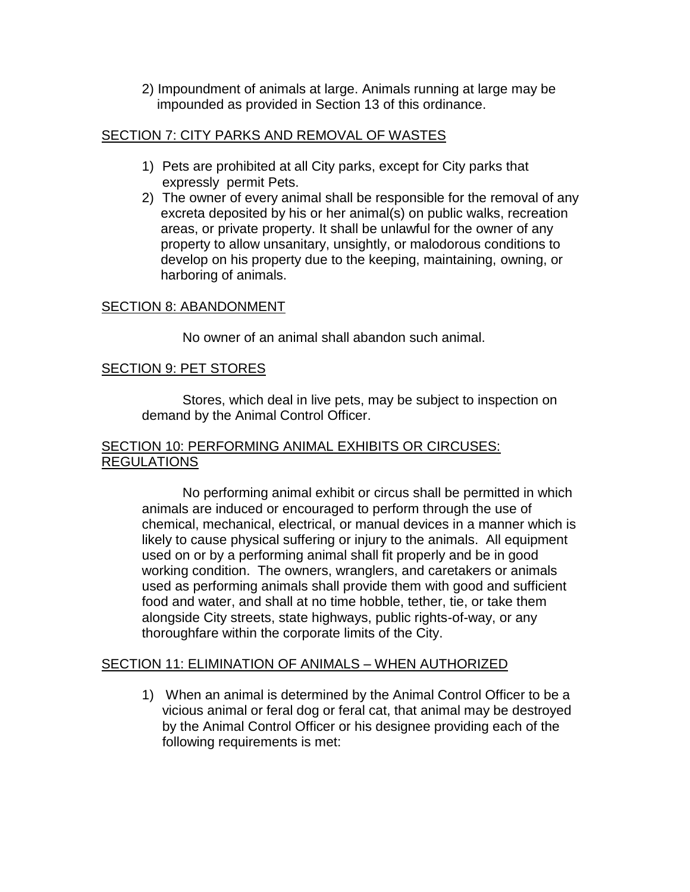2) Impoundment of animals at large. Animals running at large may be impounded as provided in Section 13 of this ordinance.

## SECTION 7: CITY PARKS AND REMOVAL OF WASTES

- 1) Pets are prohibited at all City parks, except for City parks that expressly permit Pets.
- 2) The owner of every animal shall be responsible for the removal of any excreta deposited by his or her animal(s) on public walks, recreation areas, or private property. It shall be unlawful for the owner of any property to allow unsanitary, unsightly, or malodorous conditions to develop on his property due to the keeping, maintaining, owning, or harboring of animals.

## SECTION 8: ABANDONMENT

No owner of an animal shall abandon such animal.

#### SECTION 9: PET STORES

Stores, which deal in live pets, may be subject to inspection on demand by the Animal Control Officer.

## SECTION 10: PERFORMING ANIMAL EXHIBITS OR CIRCUSES: REGULATIONS

No performing animal exhibit or circus shall be permitted in which animals are induced or encouraged to perform through the use of chemical, mechanical, electrical, or manual devices in a manner which is likely to cause physical suffering or injury to the animals. All equipment used on or by a performing animal shall fit properly and be in good working condition. The owners, wranglers, and caretakers or animals used as performing animals shall provide them with good and sufficient food and water, and shall at no time hobble, tether, tie, or take them alongside City streets, state highways, public rights-of-way, or any thoroughfare within the corporate limits of the City.

## SECTION 11: ELIMINATION OF ANIMALS – WHEN AUTHORIZED

1) When an animal is determined by the Animal Control Officer to be a vicious animal or feral dog or feral cat, that animal may be destroyed by the Animal Control Officer or his designee providing each of the following requirements is met: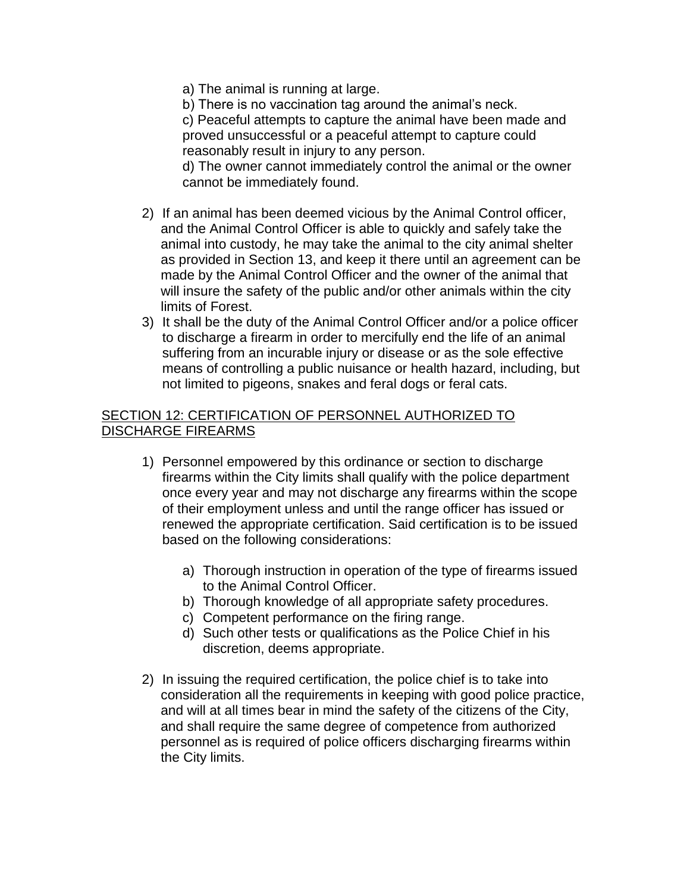a) The animal is running at large.

b) There is no vaccination tag around the animal's neck.

c) Peaceful attempts to capture the animal have been made and proved unsuccessful or a peaceful attempt to capture could reasonably result in injury to any person.

d) The owner cannot immediately control the animal or the owner cannot be immediately found.

- 2) If an animal has been deemed vicious by the Animal Control officer, and the Animal Control Officer is able to quickly and safely take the animal into custody, he may take the animal to the city animal shelter as provided in Section 13, and keep it there until an agreement can be made by the Animal Control Officer and the owner of the animal that will insure the safety of the public and/or other animals within the city limits of Forest.
- 3) It shall be the duty of the Animal Control Officer and/or a police officer to discharge a firearm in order to mercifully end the life of an animal suffering from an incurable injury or disease or as the sole effective means of controlling a public nuisance or health hazard, including, but not limited to pigeons, snakes and feral dogs or feral cats.

## SECTION 12: CERTIFICATION OF PERSONNEL AUTHORIZED TO DISCHARGE FIREARMS

- 1) Personnel empowered by this ordinance or section to discharge firearms within the City limits shall qualify with the police department once every year and may not discharge any firearms within the scope of their employment unless and until the range officer has issued or renewed the appropriate certification. Said certification is to be issued based on the following considerations:
	- a) Thorough instruction in operation of the type of firearms issued to the Animal Control Officer.
	- b) Thorough knowledge of all appropriate safety procedures.
	- c) Competent performance on the firing range.
	- d) Such other tests or qualifications as the Police Chief in his discretion, deems appropriate.
- 2) In issuing the required certification, the police chief is to take into consideration all the requirements in keeping with good police practice, and will at all times bear in mind the safety of the citizens of the City, and shall require the same degree of competence from authorized personnel as is required of police officers discharging firearms within the City limits.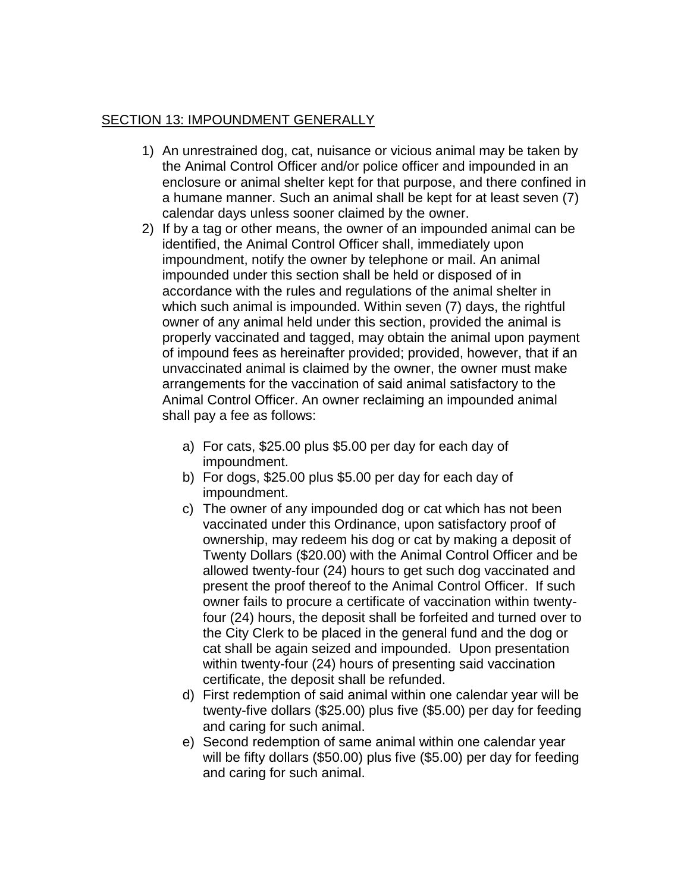## SECTION 13: IMPOUNDMENT GENERALLY

- 1) An unrestrained dog, cat, nuisance or vicious animal may be taken by the Animal Control Officer and/or police officer and impounded in an enclosure or animal shelter kept for that purpose, and there confined in a humane manner. Such an animal shall be kept for at least seven (7) calendar days unless sooner claimed by the owner.
- 2) If by a tag or other means, the owner of an impounded animal can be identified, the Animal Control Officer shall, immediately upon impoundment, notify the owner by telephone or mail. An animal impounded under this section shall be held or disposed of in accordance with the rules and regulations of the animal shelter in which such animal is impounded. Within seven (7) days, the rightful owner of any animal held under this section, provided the animal is properly vaccinated and tagged, may obtain the animal upon payment of impound fees as hereinafter provided; provided, however, that if an unvaccinated animal is claimed by the owner, the owner must make arrangements for the vaccination of said animal satisfactory to the Animal Control Officer. An owner reclaiming an impounded animal shall pay a fee as follows:
	- a) For cats, \$25.00 plus \$5.00 per day for each day of impoundment.
	- b) For dogs, \$25.00 plus \$5.00 per day for each day of impoundment.
	- c) The owner of any impounded dog or cat which has not been vaccinated under this Ordinance, upon satisfactory proof of ownership, may redeem his dog or cat by making a deposit of Twenty Dollars (\$20.00) with the Animal Control Officer and be allowed twenty-four (24) hours to get such dog vaccinated and present the proof thereof to the Animal Control Officer. If such owner fails to procure a certificate of vaccination within twentyfour (24) hours, the deposit shall be forfeited and turned over to the City Clerk to be placed in the general fund and the dog or cat shall be again seized and impounded. Upon presentation within twenty-four (24) hours of presenting said vaccination certificate, the deposit shall be refunded.
	- d) First redemption of said animal within one calendar year will be twenty-five dollars (\$25.00) plus five (\$5.00) per day for feeding and caring for such animal.
	- e) Second redemption of same animal within one calendar year will be fifty dollars (\$50.00) plus five (\$5.00) per day for feeding and caring for such animal.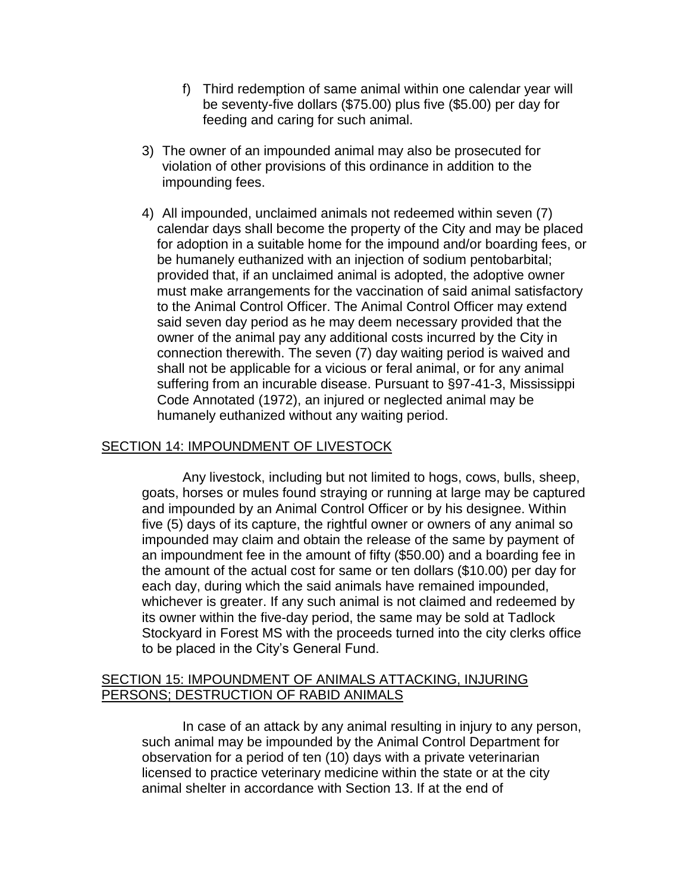- f) Third redemption of same animal within one calendar year will be seventy-five dollars (\$75.00) plus five (\$5.00) per day for feeding and caring for such animal.
- 3) The owner of an impounded animal may also be prosecuted for violation of other provisions of this ordinance in addition to the impounding fees.
- 4) All impounded, unclaimed animals not redeemed within seven (7) calendar days shall become the property of the City and may be placed for adoption in a suitable home for the impound and/or boarding fees, or be humanely euthanized with an injection of sodium pentobarbital; provided that, if an unclaimed animal is adopted, the adoptive owner must make arrangements for the vaccination of said animal satisfactory to the Animal Control Officer. The Animal Control Officer may extend said seven day period as he may deem necessary provided that the owner of the animal pay any additional costs incurred by the City in connection therewith. The seven (7) day waiting period is waived and shall not be applicable for a vicious or feral animal, or for any animal suffering from an incurable disease. Pursuant to §97-41-3, Mississippi Code Annotated (1972), an injured or neglected animal may be humanely euthanized without any waiting period.

#### SECTION 14: IMPOUNDMENT OF LIVESTOCK

Any livestock, including but not limited to hogs, cows, bulls, sheep, goats, horses or mules found straying or running at large may be captured and impounded by an Animal Control Officer or by his designee. Within five (5) days of its capture, the rightful owner or owners of any animal so impounded may claim and obtain the release of the same by payment of an impoundment fee in the amount of fifty (\$50.00) and a boarding fee in the amount of the actual cost for same or ten dollars (\$10.00) per day for each day, during which the said animals have remained impounded, whichever is greater. If any such animal is not claimed and redeemed by its owner within the five-day period, the same may be sold at Tadlock Stockyard in Forest MS with the proceeds turned into the city clerks office to be placed in the City's General Fund.

#### SECTION 15: IMPOUNDMENT OF ANIMALS ATTACKING, INJURING PERSONS; DESTRUCTION OF RABID ANIMALS

In case of an attack by any animal resulting in injury to any person, such animal may be impounded by the Animal Control Department for observation for a period of ten (10) days with a private veterinarian licensed to practice veterinary medicine within the state or at the city animal shelter in accordance with Section 13. If at the end of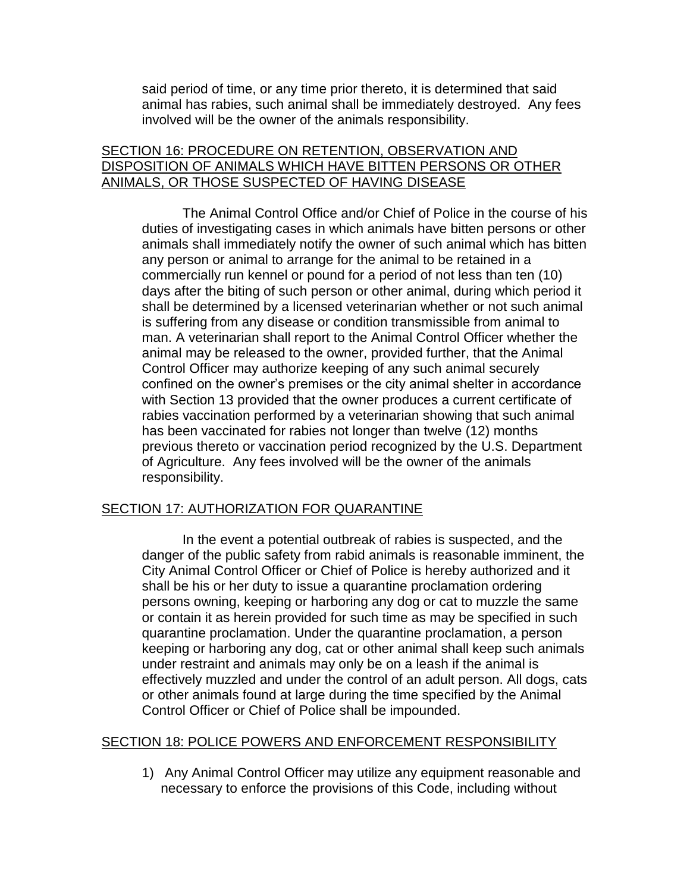said period of time, or any time prior thereto, it is determined that said animal has rabies, such animal shall be immediately destroyed. Any fees involved will be the owner of the animals responsibility.

#### SECTION 16: PROCEDURE ON RETENTION, OBSERVATION AND DISPOSITION OF ANIMALS WHICH HAVE BITTEN PERSONS OR OTHER ANIMALS, OR THOSE SUSPECTED OF HAVING DISEASE

The Animal Control Office and/or Chief of Police in the course of his duties of investigating cases in which animals have bitten persons or other animals shall immediately notify the owner of such animal which has bitten any person or animal to arrange for the animal to be retained in a commercially run kennel or pound for a period of not less than ten (10) days after the biting of such person or other animal, during which period it shall be determined by a licensed veterinarian whether or not such animal is suffering from any disease or condition transmissible from animal to man. A veterinarian shall report to the Animal Control Officer whether the animal may be released to the owner, provided further, that the Animal Control Officer may authorize keeping of any such animal securely confined on the owner's premises or the city animal shelter in accordance with Section 13 provided that the owner produces a current certificate of rabies vaccination performed by a veterinarian showing that such animal has been vaccinated for rabies not longer than twelve (12) months previous thereto or vaccination period recognized by the U.S. Department of Agriculture. Any fees involved will be the owner of the animals responsibility.

## SECTION 17: AUTHORIZATION FOR QUARANTINE

In the event a potential outbreak of rabies is suspected, and the danger of the public safety from rabid animals is reasonable imminent, the City Animal Control Officer or Chief of Police is hereby authorized and it shall be his or her duty to issue a quarantine proclamation ordering persons owning, keeping or harboring any dog or cat to muzzle the same or contain it as herein provided for such time as may be specified in such quarantine proclamation. Under the quarantine proclamation, a person keeping or harboring any dog, cat or other animal shall keep such animals under restraint and animals may only be on a leash if the animal is effectively muzzled and under the control of an adult person. All dogs, cats or other animals found at large during the time specified by the Animal Control Officer or Chief of Police shall be impounded.

## SECTION 18: POLICE POWERS AND ENFORCEMENT RESPONSIBILITY

1) Any Animal Control Officer may utilize any equipment reasonable and necessary to enforce the provisions of this Code, including without